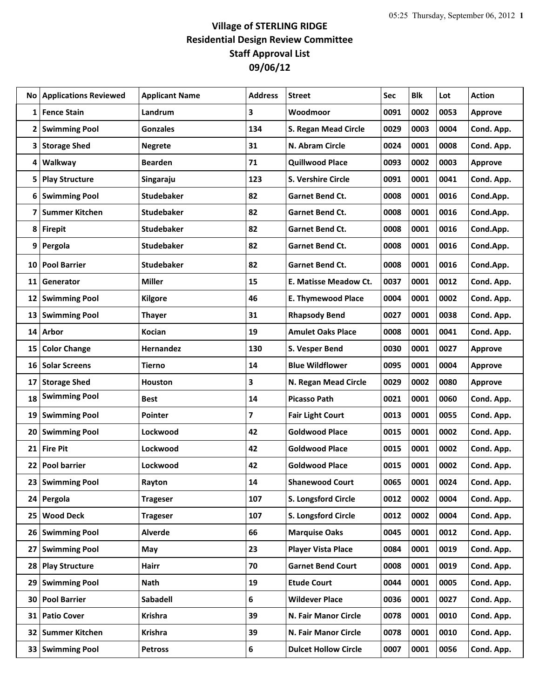## **Village of STERLING RIDGE Residential Design Review Committee Staff Approval List 09/06/12**

| No.             | <b>Applications Reviewed</b> | <b>Applicant Name</b> | <b>Address</b> | <b>Street</b>               | Sec  | <b>Blk</b> | Lot  | <b>Action</b>  |
|-----------------|------------------------------|-----------------------|----------------|-----------------------------|------|------------|------|----------------|
| 1               | <b>Fence Stain</b>           | Landrum               | 3              | Woodmoor                    | 0091 | 0002       | 0053 | <b>Approve</b> |
| 2               | <b>Swimming Pool</b>         | <b>Gonzales</b>       | 134            | S. Regan Mead Circle        | 0029 | 0003       | 0004 | Cond. App.     |
| 3               | <b>Storage Shed</b>          | <b>Negrete</b>        | 31             | N. Abram Circle             | 0024 | 0001       | 0008 | Cond. App.     |
| 4               | Walkway                      | <b>Bearden</b>        | 71             | <b>Quillwood Place</b>      | 0093 | 0002       | 0003 | <b>Approve</b> |
| 5               | <b>Play Structure</b>        | Singaraju             | 123            | S. Vershire Circle          | 0091 | 0001       | 0041 | Cond. App.     |
| 6               | <b>Swimming Pool</b>         | <b>Studebaker</b>     | 82             | <b>Garnet Bend Ct.</b>      | 0008 | 0001       | 0016 | Cond.App.      |
| 7               | <b>Summer Kitchen</b>        | <b>Studebaker</b>     | 82             | <b>Garnet Bend Ct.</b>      | 0008 | 0001       | 0016 | Cond.App.      |
| 8               | <b>Firepit</b>               | <b>Studebaker</b>     | 82             | Garnet Bend Ct.             | 0008 | 0001       | 0016 | Cond.App.      |
| 9               | Pergola                      | <b>Studebaker</b>     | 82             | <b>Garnet Bend Ct.</b>      | 0008 | 0001       | 0016 | Cond.App.      |
| 10              | <b>Pool Barrier</b>          | <b>Studebaker</b>     | 82             | <b>Garnet Bend Ct.</b>      | 0008 | 0001       | 0016 | Cond.App.      |
| 11              | Generator                    | <b>Miller</b>         | 15             | E. Matisse Meadow Ct.       | 0037 | 0001       | 0012 | Cond. App.     |
| 12              | <b>Swimming Pool</b>         | Kilgore               | 46             | <b>E. Thymewood Place</b>   | 0004 | 0001       | 0002 | Cond. App.     |
| 13              | <b>Swimming Pool</b>         | <b>Thayer</b>         | 31             | <b>Rhapsody Bend</b>        | 0027 | 0001       | 0038 | Cond. App.     |
| 14              | Arbor                        | <b>Kocian</b>         | 19             | <b>Amulet Oaks Place</b>    | 0008 | 0001       | 0041 | Cond. App.     |
| 15              | <b>Color Change</b>          | <b>Hernandez</b>      | 130            | S. Vesper Bend              | 0030 | 0001       | 0027 | <b>Approve</b> |
| 16              | <b>Solar Screens</b>         | <b>Tierno</b>         | 14             | <b>Blue Wildflower</b>      | 0095 | 0001       | 0004 | <b>Approve</b> |
| 17              | <b>Storage Shed</b>          | Houston               | 3              | N. Regan Mead Circle        | 0029 | 0002       | 0080 | <b>Approve</b> |
| 18              | <b>Swimming Pool</b>         | <b>Best</b>           | 14             | <b>Picasso Path</b>         | 0021 | 0001       | 0060 | Cond. App.     |
| 19              | <b>Swimming Pool</b>         | Pointer               | 7              | <b>Fair Light Court</b>     | 0013 | 0001       | 0055 | Cond. App.     |
| 20              | <b>Swimming Pool</b>         | Lockwood              | 42             | <b>Goldwood Place</b>       | 0015 | 0001       | 0002 | Cond. App.     |
| 21              | <b>Fire Pit</b>              | Lockwood              | 42             | <b>Goldwood Place</b>       | 0015 | 0001       | 0002 | Cond. App.     |
| 22              | <b>Pool barrier</b>          | Lockwood              | 42             | <b>Goldwood Place</b>       | 0015 | 0001       | 0002 | Cond. App.     |
| 23              | <b>Swimming Pool</b>         | Rayton                | 14             | <b>Shanewood Court</b>      | 0065 | 0001       | 0024 | Cond. App.     |
| 24              | Pergola                      | <b>Trageser</b>       | 107            | S. Longsford Circle         | 0012 | 0002       | 0004 | Cond. App.     |
| 25 <sub>1</sub> | <b>Wood Deck</b>             | <b>Trageser</b>       | 107            | S. Longsford Circle         | 0012 | 0002       | 0004 | Cond. App.     |
| 26              | <b>Swimming Pool</b>         | Alverde               | 66             | <b>Marquise Oaks</b>        | 0045 | 0001       | 0012 | Cond. App.     |
| 27              | <b>Swimming Pool</b>         | May                   | 23             | <b>Player Vista Place</b>   | 0084 | 0001       | 0019 | Cond. App.     |
| 28              | <b>Play Structure</b>        | Hairr                 | 70             | <b>Garnet Bend Court</b>    | 0008 | 0001       | 0019 | Cond. App.     |
| 29              | <b>Swimming Pool</b>         | Nath                  | 19             | <b>Etude Court</b>          | 0044 | 0001       | 0005 | Cond. App.     |
| 30              | <b>Pool Barrier</b>          | <b>Sabadell</b>       | 6              | <b>Wildever Place</b>       | 0036 | 0001       | 0027 | Cond. App.     |
| 31              | <b>Patio Cover</b>           | <b>Krishra</b>        | 39             | N. Fair Manor Circle        | 0078 | 0001       | 0010 | Cond. App.     |
| 32              | <b>Summer Kitchen</b>        | <b>Krishra</b>        | 39             | N. Fair Manor Circle        | 0078 | 0001       | 0010 | Cond. App.     |
| 33 <sup>1</sup> | <b>Swimming Pool</b>         | <b>Petross</b>        | 6              | <b>Dulcet Hollow Circle</b> | 0007 | 0001       | 0056 | Cond. App.     |